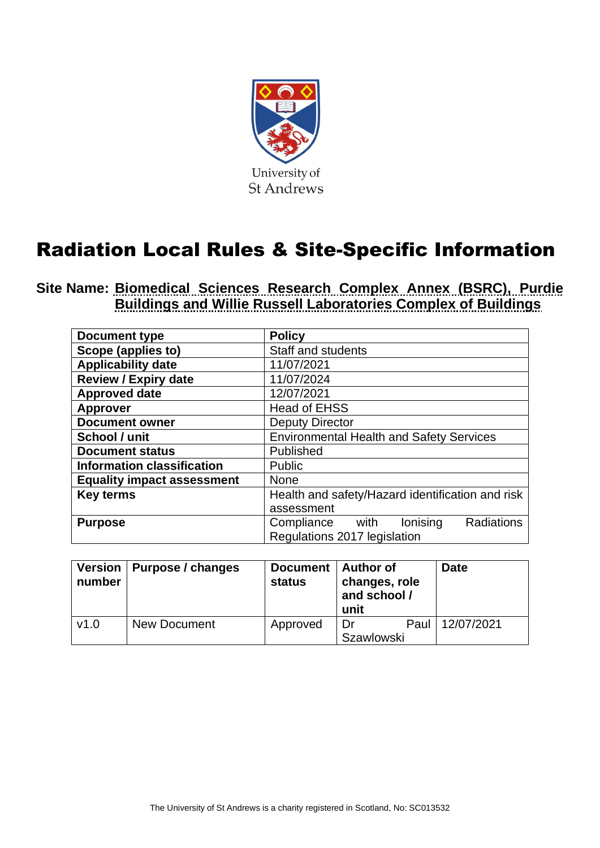

# Radiation Local Rules & Site-Specific Information

**Site Name: Biomedical Sciences Research Complex Annex (BSRC), Purdie Buildings and Willie Russell Laboratories Complex of Buildings**

| <b>Document type</b>              | <b>Policy</b>                                    |  |  |
|-----------------------------------|--------------------------------------------------|--|--|
| Scope (applies to)                | Staff and students                               |  |  |
| <b>Applicability date</b>         | 11/07/2021                                       |  |  |
| <b>Review / Expiry date</b>       | 11/07/2024                                       |  |  |
| <b>Approved date</b>              | 12/07/2021                                       |  |  |
| <b>Approver</b>                   | <b>Head of EHSS</b>                              |  |  |
| <b>Document owner</b>             | <b>Deputy Director</b>                           |  |  |
| School / unit                     | <b>Environmental Health and Safety Services</b>  |  |  |
| <b>Document status</b>            | Published                                        |  |  |
| <b>Information classification</b> | <b>Public</b>                                    |  |  |
| <b>Equality impact assessment</b> | <b>None</b>                                      |  |  |
| <b>Key terms</b>                  | Health and safety/Hazard identification and risk |  |  |
|                                   | assessment                                       |  |  |
| <b>Purpose</b>                    | lonising<br>Radiations<br>Compliance with        |  |  |
|                                   | Regulations 2017 legislation                     |  |  |

| Version  <br>number | Purpose / changes   | Document   Author of<br>status | changes, role<br>and school /<br>unit | <b>Date</b> |
|---------------------|---------------------|--------------------------------|---------------------------------------|-------------|
| v1.0                | <b>New Document</b> | Approved                       | Paul<br>. Dr<br>Szawlowski            | 12/07/2021  |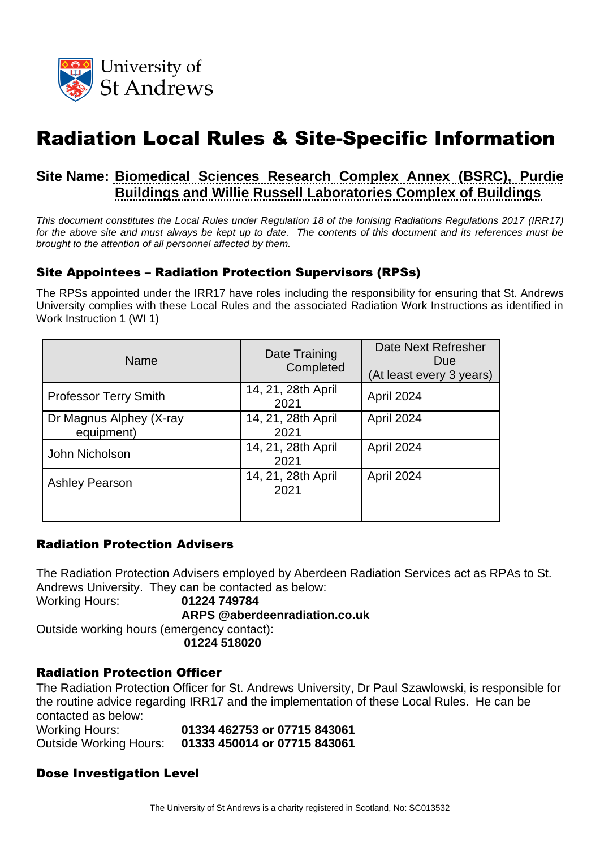

# Radiation Local Rules & Site-Specific Information

## **Site Name: Biomedical Sciences Research Complex Annex (BSRC), Purdie Buildings and Willie Russell Laboratories Complex of Buildings**

*This document constitutes the Local Rules under Regulation 18 of the Ionising Radiations Regulations 2017 (IRR17)* for the above site and must always be kept up to date. The contents of this document and its references must be *brought to the attention of all personnel affected by them.*

## Site Appointees – Radiation Protection Supervisors (RPSs)

The RPSs appointed under the IRR17 have roles including the responsibility for ensuring that St. Andrews University complies with these Local Rules and the associated Radiation Work Instructions as identified in Work Instruction 1 (WI 1)

| Name                                  | Date Training<br>Completed | Date Next Refresher<br>Due<br>(At least every 3 years) |  |
|---------------------------------------|----------------------------|--------------------------------------------------------|--|
| <b>Professor Terry Smith</b>          | 14, 21, 28th April<br>2021 | April 2024                                             |  |
| Dr Magnus Alphey (X-ray<br>equipment) | 14, 21, 28th April<br>2021 | April 2024                                             |  |
| John Nicholson                        | 14, 21, 28th April<br>2021 | April 2024                                             |  |
| <b>Ashley Pearson</b>                 | 14, 21, 28th April<br>2021 | April 2024                                             |  |
|                                       |                            |                                                        |  |

### Radiation Protection Advisers

The Radiation Protection Advisers employed by Aberdeen Radiation Services act as RPAs to St. Andrews University. They can be contacted as below:

Working Hours: **01224 749784 ARPS @aberdeenradiation.co.uk** Outside working hours (emergency contact): **01224 518020**

## Radiation Protection Officer

The Radiation Protection Officer for St. Andrews University, Dr Paul Szawlowski, is responsible for the routine advice regarding IRR17 and the implementation of these Local Rules. He can be contacted as below:

Working Hours: **01334 462753 or 07715 843061** Outside Working Hours: **01333 450014 or 07715 843061**

## Dose Investigation Level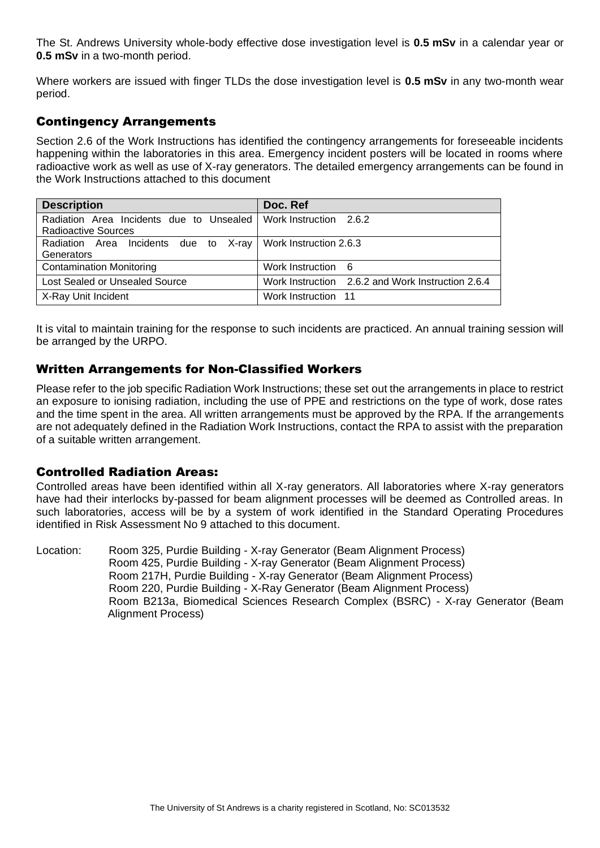The St. Andrews University whole-body effective dose investigation level is **0.5 mSv** in a calendar year or **0.5 mSv** in a two-month period.

Where workers are issued with finger TLDs the dose investigation level is **0.5 mSv** in any two-month wear period.

## Contingency Arrangements

Section 2.6 of the Work Instructions has identified the contingency arrangements for foreseeable incidents happening within the laboratories in this area. Emergency incident posters will be located in rooms where radioactive work as well as use of X-ray generators. The detailed emergency arrangements can be found in the Work Instructions attached to this document

| <b>Description</b>                       | Doc. Ref                                          |
|------------------------------------------|---------------------------------------------------|
| Radiation Area Incidents due to Unsealed | Work Instruction 2.6.2                            |
| <b>Radioactive Sources</b>               |                                                   |
| Radiation Area Incidents due to X-ray    | Work Instruction 2.6.3                            |
| Generators                               |                                                   |
| <b>Contamination Monitoring</b>          | Work Instruction 6                                |
| <b>Lost Sealed or Unsealed Source</b>    | Work Instruction 2.6.2 and Work Instruction 2.6.4 |
| X-Ray Unit Incident                      | Work Instruction 11                               |

It is vital to maintain training for the response to such incidents are practiced. An annual training session will be arranged by the URPO.

### Written Arrangements for Non-Classified Workers

Please refer to the job specific Radiation Work Instructions; these set out the arrangements in place to restrict an exposure to ionising radiation, including the use of PPE and restrictions on the type of work, dose rates and the time spent in the area. All written arrangements must be approved by the RPA. If the arrangements are not adequately defined in the Radiation Work Instructions, contact the RPA to assist with the preparation of a suitable written arrangement.

### Controlled Radiation Areas:

Controlled areas have been identified within all X-ray generators. All laboratories where X-ray generators have had their interlocks by-passed for beam alignment processes will be deemed as Controlled areas. In such laboratories, access will be by a system of work identified in the Standard Operating Procedures identified in Risk Assessment No 9 attached to this document.

Location: Room 325, Purdie Building - X-ray Generator (Beam Alignment Process) Room 425, Purdie Building - X-ray Generator (Beam Alignment Process) Room 217H, Purdie Building - X-ray Generator (Beam Alignment Process) Room 220, Purdie Building - X-Ray Generator (Beam Alignment Process) Room B213a, Biomedical Sciences Research Complex (BSRC) - X-ray Generator (Beam Alignment Process)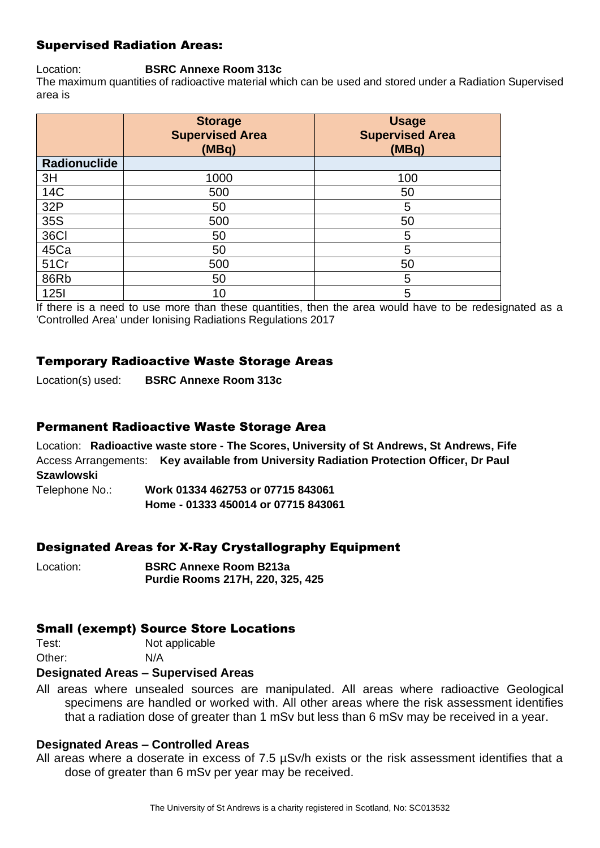## Supervised Radiation Areas:

#### Location: **BSRC Annexe Room 313c**

The maximum quantities of radioactive material which can be used and stored under a Radiation Supervised area is

|              | <b>Storage</b><br><b>Supervised Area</b><br>(MBq) | <b>Usage</b><br><b>Supervised Area</b><br>(MBq) |
|--------------|---------------------------------------------------|-------------------------------------------------|
| Radionuclide |                                                   |                                                 |
| 3H           | 1000                                              | 100                                             |
| 14C          | 500                                               | 50                                              |
| 32P          | 50                                                | 5                                               |
| 35S          | 500                                               | 50                                              |
| <b>36Cl</b>  | 50                                                | 5                                               |
| 45Ca         | 50                                                | 5                                               |
| 51Cr         | 500                                               | 50                                              |
| 86Rb         | 50                                                | 5                                               |
| <b>1251</b>  | 10                                                | 5                                               |

If there is a need to use more than these quantities, then the area would have to be redesignated as a 'Controlled Area' under Ionising Radiations Regulations 2017

## Temporary Radioactive Waste Storage Areas

Location(s) used: **BSRC Annexe Room 313c** 

## Permanent Radioactive Waste Storage Area

Location: **Radioactive waste store - The Scores, University of St Andrews, St Andrews, Fife** Access Arrangements: **Key available from University Radiation Protection Officer, Dr Paul Szawlowski**

Telephone No.: **Work 01334 462753 or 07715 843061 Home - 01333 450014 or 07715 843061**

### Designated Areas for X-Ray Crystallography Equipment

Location: **BSRC Annexe Room B213a Purdie Rooms 217H, 220, 325, 425**

### Small (exempt) Source Store Locations

Test: Not applicable

Other: N/A

#### **Designated Areas – Supervised Areas**

All areas where unsealed sources are manipulated. All areas where radioactive Geological specimens are handled or worked with. All other areas where the risk assessment identifies that a radiation dose of greater than 1 mSv but less than 6 mSv may be received in a year.

#### **Designated Areas – Controlled Areas**

All areas where a doserate in excess of 7.5  $\mu$ Sv/h exists or the risk assessment identifies that a dose of greater than 6 mSv per year may be received.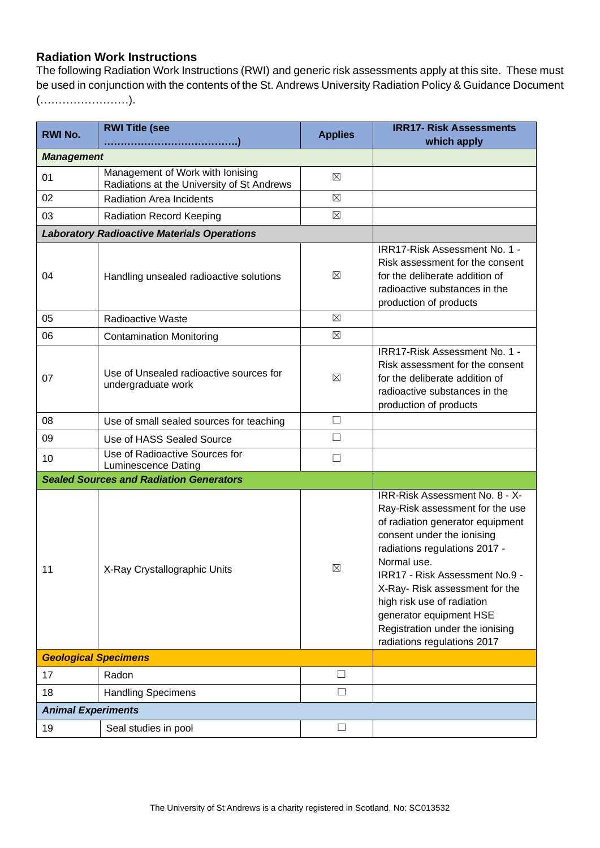### **Radiation Work Instructions**

The following Radiation Work Instructions (RWI) and generic risk assessments apply at this site. These must be used in conjunction with the contents of the St. Andrews University Radiation Policy & Guidance Document (……………………).

| <b>RWI No.</b>            | <b>RWI Title (see</b>                                                          | <b>Applies</b> | <b>IRR17- Risk Assessments</b><br>which apply                                                                                                                                                                                                                                                                                                                                      |
|---------------------------|--------------------------------------------------------------------------------|----------------|------------------------------------------------------------------------------------------------------------------------------------------------------------------------------------------------------------------------------------------------------------------------------------------------------------------------------------------------------------------------------------|
| <b>Management</b>         |                                                                                |                |                                                                                                                                                                                                                                                                                                                                                                                    |
| 01                        | Management of Work with Ionising<br>Radiations at the University of St Andrews | ⊠              |                                                                                                                                                                                                                                                                                                                                                                                    |
| 02                        | <b>Radiation Area Incidents</b>                                                | $\boxtimes$    |                                                                                                                                                                                                                                                                                                                                                                                    |
| 03                        | <b>Radiation Record Keeping</b>                                                | X              |                                                                                                                                                                                                                                                                                                                                                                                    |
|                           | <b>Laboratory Radioactive Materials Operations</b>                             |                |                                                                                                                                                                                                                                                                                                                                                                                    |
| 04                        | Handling unsealed radioactive solutions                                        | ⊠              | IRR17-Risk Assessment No. 1 -<br>Risk assessment for the consent<br>for the deliberate addition of<br>radioactive substances in the<br>production of products                                                                                                                                                                                                                      |
| 05                        | Radioactive Waste                                                              | $\boxtimes$    |                                                                                                                                                                                                                                                                                                                                                                                    |
| 06                        | <b>Contamination Monitoring</b>                                                | $\boxtimes$    |                                                                                                                                                                                                                                                                                                                                                                                    |
| 07                        | Use of Unsealed radioactive sources for<br>undergraduate work                  | ⊠              | IRR17-Risk Assessment No. 1 -<br>Risk assessment for the consent<br>for the deliberate addition of<br>radioactive substances in the<br>production of products                                                                                                                                                                                                                      |
| 08                        | Use of small sealed sources for teaching                                       | $\Box$         |                                                                                                                                                                                                                                                                                                                                                                                    |
| 09                        | Use of HASS Sealed Source                                                      | □              |                                                                                                                                                                                                                                                                                                                                                                                    |
| 10                        | Use of Radioactive Sources for<br>Luminescence Dating                          | □              |                                                                                                                                                                                                                                                                                                                                                                                    |
|                           | <b>Sealed Sources and Radiation Generators</b>                                 |                |                                                                                                                                                                                                                                                                                                                                                                                    |
| 11                        | X-Ray Crystallographic Units                                                   | ⋈              | IRR-Risk Assessment No. 8 - X-<br>Ray-Risk assessment for the use<br>of radiation generator equipment<br>consent under the ionising<br>radiations regulations 2017 -<br>Normal use.<br>IRR17 - Risk Assessment No.9 -<br>X-Ray- Risk assessment for the<br>high risk use of radiation<br>generator equipment HSE<br>Registration under the ionising<br>radiations regulations 2017 |
|                           | <b>Geological Specimens</b>                                                    |                |                                                                                                                                                                                                                                                                                                                                                                                    |
| 17                        | Radon                                                                          | $\Box$         |                                                                                                                                                                                                                                                                                                                                                                                    |
| 18                        | <b>Handling Specimens</b>                                                      | $\Box$         |                                                                                                                                                                                                                                                                                                                                                                                    |
| <b>Animal Experiments</b> |                                                                                |                |                                                                                                                                                                                                                                                                                                                                                                                    |
| 19                        | Seal studies in pool                                                           | $\Box$         |                                                                                                                                                                                                                                                                                                                                                                                    |